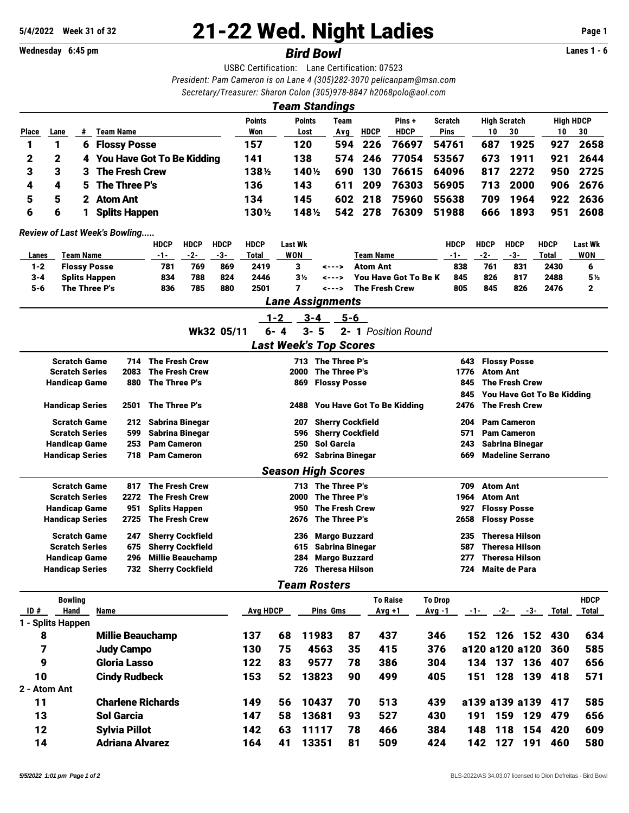**Wednesday 6:45 pm** *Bird Bowl* **Lanes 1 - 6**

## **5/4/2022** Week 31 of 32 **21-22 Wed. Night Ladies** Page 1<br>
Wednesday 6:45 pm<br> **Rird Rowl**

USBC Certification: Lane Certification: 07523 *President: Pam Cameron is on Lane 4 (305)282-3070 [pelicanpam@msn.com](mailto:pelicanpam@msn.com) Secretary/Treasurer: Sharon Colon (305)978-8847 [h2068polo@aol.com](mailto:h2068polo@aol.com)*

|                                                 |                                                |                     |                      |                        |                                          |                                    |             |                              |                    |                    | <b>Team Standings</b>                |                           |                             |                               |                                            |                                                          |                       |                                   |                             |  |
|-------------------------------------------------|------------------------------------------------|---------------------|----------------------|------------------------|------------------------------------------|------------------------------------|-------------|------------------------------|--------------------|--------------------|--------------------------------------|---------------------------|-----------------------------|-------------------------------|--------------------------------------------|----------------------------------------------------------|-----------------------|-----------------------------------|-----------------------------|--|
|                                                 |                                                |                     |                      |                        | Points                                   | Points                             |             | Team                         |                    | Pins+              | <b>Scratch</b>                       |                           | <b>High Scratch</b>         |                               |                                            | <b>High HDCP</b>                                         |                       |                                   |                             |  |
| <b>Place</b>                                    | Lane                                           | #                   |                      | <b>Team Name</b>       |                                          |                                    |             | Won                          |                    | Lost               | Avg                                  | <b>HDCP</b>               | <b>HDCP</b>                 | Pins                          |                                            | 10                                                       | 30                    | 10                                | 30                          |  |
| 1                                               | 1                                              | 6                   |                      | <b>Flossy Posse</b>    | <b>You Have Got To Be Kidding</b>        |                                    |             | 157<br>141                   |                    | 120<br>138         | 594<br>574                           | 226<br>246                | 76697<br>77054              | 54761<br>53567                |                                            | 687<br>673                                               | 1925<br>1911          | 927<br>921                        | 2658<br>2644                |  |
| 2<br>3                                          | 2<br>3                                         | 4<br>3              |                      | <b>The Fresh Crew</b>  |                                          |                                    |             | 1381/2                       |                    | 140½               | 690                                  | 130                       | 76615                       | 64096                         |                                            | 817                                                      | 2272                  | 950                               | 2725                        |  |
| 4                                               | 4                                              | 5                   |                      | The Three P's          |                                          |                                    |             | 136                          |                    | 143                | 611                                  | 209                       | 76303                       | 56905                         |                                            | 713                                                      | 2000                  | 906                               | 2676                        |  |
| 5                                               | 5                                              | $\mathbf{2}$        |                      | <b>Atom Ant</b>        |                                          |                                    |             | 134                          |                    | 145                | 602                                  | 218                       | 75960                       | 55638                         |                                            | 709                                                      | 1964                  | 922                               | 2636                        |  |
| 6                                               | 6                                              | 1                   |                      | <b>Splits Happen</b>   |                                          |                                    |             | 1301/2                       |                    | 1481/2             | 542                                  | 278                       | 76309                       | 51988                         |                                            | 666                                                      | 1893                  | 951                               | 2608                        |  |
|                                                 |                                                |                     |                      |                        |                                          |                                    |             |                              |                    |                    |                                      |                           |                             |                               |                                            |                                                          |                       |                                   |                             |  |
|                                                 | <b>Review of Last Week's Bowling</b>           |                     |                      |                        | <b>HDCP</b>                              | <b>HDCP</b>                        | <b>HDCP</b> | <b>HDCP</b>                  | <b>Last Wk</b>     |                    |                                      |                           |                             |                               | <b>HDCP</b>                                | <b>HDCP</b>                                              | <b>HDCP</b>           | <b>HDCP</b>                       | <b>Last Wk</b>              |  |
| Lanes                                           |                                                | <b>Team Name</b>    |                      |                        | -1-                                      | $-2-$                              | $-3-$       | Total                        | WON                |                    |                                      | Team Name                 |                             |                               | $-1-$                                      | $-2-$                                                    | $-3-$                 | Total                             | WON                         |  |
| $1 - 2$                                         |                                                |                     | <b>Flossy Posse</b>  |                        | 781                                      | 769                                | 869         | 2419                         | 3                  |                    | <--->                                | <b>Atom Ant</b>           |                             |                               | 838                                        | 761                                                      | 831                   | 2430                              | 6                           |  |
| $3 - 4$                                         |                                                |                     | <b>Splits Happen</b> |                        | 834                                      | 788                                | 824         | 2446                         | 7                  | 3 <sub>2</sub>     | <--->                                |                           | <b>You Have Got To Be K</b> |                               | 845                                        | 826                                                      | 817                   | 2488                              | 5½                          |  |
| 5-6                                             |                                                |                     | The Three P's        |                        | 836                                      | 785                                | 880         | 2501                         |                    |                    | <--->                                |                           | <b>The Fresh Crew</b>       |                               | 805                                        | 845                                                      | 826                   | 2476                              | 2                           |  |
|                                                 |                                                |                     |                      |                        |                                          |                                    |             |                              |                    |                    | <b>Lane Assignments</b>              |                           |                             |                               |                                            |                                                          |                       |                                   |                             |  |
|                                                 |                                                |                     |                      |                        |                                          |                                    | Wk32 05/11  |                              | $1 - 2$<br>$6 - 4$ | $3 - 4$<br>$3 - 5$ | $5 - 6$                              |                           | 2- 1 Position Round         |                               |                                            |                                                          |                       |                                   |                             |  |
|                                                 |                                                |                     |                      |                        |                                          |                                    |             |                              |                    |                    | <b>Last Week's Top Scores</b>        |                           |                             |                               |                                            |                                                          |                       |                                   |                             |  |
|                                                 |                                                | <b>Scratch Game</b> |                      | 714                    | <b>The Fresh Crew</b>                    |                                    |             |                              |                    |                    | 713 The Three P's                    |                           |                             |                               |                                            |                                                          | <b>Flossy Posse</b>   |                                   |                             |  |
|                                                 | <b>Scratch Series</b>                          |                     |                      | 2083                   | <b>The Fresh Crew</b>                    |                                    |             |                              |                    | 2000               | The Three P's                        |                           |                             |                               | 643<br>1776                                | <b>Atom Ant</b>                                          |                       |                                   |                             |  |
|                                                 | <b>Handicap Game</b>                           |                     |                      | 880                    | The Three P's                            |                                    |             |                              |                    | 869                | <b>Flossy Posse</b>                  |                           |                             |                               | 845                                        |                                                          | <b>The Fresh Crew</b> |                                   |                             |  |
|                                                 |                                                |                     |                      |                        |                                          |                                    |             |                              |                    |                    |                                      |                           |                             |                               | 845                                        |                                                          |                       | <b>You Have Got To Be Kidding</b> |                             |  |
| The Three P's<br><b>Handicap Series</b><br>2501 |                                                |                     |                      |                        |                                          | You Have Got To Be Kidding<br>2488 |             |                              |                    |                    |                                      |                           |                             | <b>The Fresh Crew</b><br>2476 |                                            |                                                          |                       |                                   |                             |  |
| <b>Scratch Game</b><br>212<br>Sabrina Binegar   |                                                |                     |                      |                        | <b>Sherry Cockfield</b><br>207           |                                    |             |                              |                    |                    |                                      | <b>Pam Cameron</b><br>204 |                             |                               |                                            |                                                          |                       |                                   |                             |  |
|                                                 | <b>Scratch Series</b>                          |                     |                      | 599                    | <b>Sabrina Binegar</b>                   |                                    |             |                              |                    | 596                | <b>Sherry Cockfield</b>              |                           |                             |                               | 571                                        | <b>Pam Cameron</b>                                       |                       |                                   |                             |  |
|                                                 | <b>Handicap Game</b><br><b>Handicap Series</b> |                     |                      | 253<br>718             | <b>Pam Cameron</b><br><b>Pam Cameron</b> |                                    |             |                              |                    | 250<br>692         | <b>Sol Garcia</b><br>Sabrina Binegar |                           |                             |                               | 243                                        | <b>Sabrina Binegar</b><br><b>Madeline Serrano</b><br>669 |                       |                                   |                             |  |
|                                                 |                                                |                     |                      |                        |                                          |                                    |             |                              |                    |                    | <b>Season High Scores</b>            |                           |                             |                               |                                            |                                                          |                       |                                   |                             |  |
|                                                 |                                                | <b>Scratch Game</b> |                      | 817                    | <b>The Fresh Crew</b>                    |                                    |             |                              |                    |                    | 713 The Three P's                    |                           |                             |                               | 709                                        |                                                          |                       |                                   |                             |  |
|                                                 | <b>Scratch Series</b>                          |                     |                      | 2272                   | <b>The Fresh Crew</b>                    |                                    |             |                              |                    | 2000               | The Three P's                        |                           |                             |                               | <b>Atom Ant</b><br>1964<br><b>Atom Ant</b> |                                                          |                       |                                   |                             |  |
|                                                 | <b>Handicap Game</b>                           |                     |                      | 951                    | <b>Splits Happen</b>                     |                                    |             | <b>The Fresh Crew</b><br>950 |                    |                    |                                      |                           |                             |                               | 927                                        | <b>Flossy Posse</b>                                      |                       |                                   |                             |  |
|                                                 | <b>Handicap Series</b>                         |                     |                      | 2725                   | <b>The Fresh Crew</b>                    |                                    |             |                              |                    | 2676               | The Three P's                        |                           |                             |                               | 2658                                       |                                                          | <b>Flossy Posse</b>   |                                   |                             |  |
|                                                 |                                                | <b>Scratch Game</b> |                      | 247                    | <b>Sherry Cockfield</b>                  |                                    |             |                              |                    | 236                | <b>Margo Buzzard</b>                 |                           |                             |                               | 235                                        |                                                          | <b>Theresa Hilson</b> |                                   |                             |  |
|                                                 | <b>Scratch Series</b>                          |                     |                      | 675                    | <b>Sherry Cockfield</b>                  |                                    |             |                              |                    | 615                | Sabrina Binegar                      |                           |                             |                               | 587                                        |                                                          | <b>Theresa Hilson</b> |                                   |                             |  |
|                                                 | <b>Handicap Game</b>                           |                     |                      | 296                    | <b>Millie Beauchamp</b>                  |                                    |             |                              |                    |                    | 284 Margo Buzzard                    |                           |                             |                               |                                            |                                                          | 277 Theresa Hilson    |                                   |                             |  |
|                                                 | <b>Handicap Series</b>                         |                     |                      |                        | 732 Sherry Cockfield                     |                                    |             |                              |                    |                    | 726 Theresa Hilson                   |                           |                             |                               |                                            |                                                          | 724 Maite de Para     |                                   |                             |  |
|                                                 |                                                |                     |                      |                        |                                          |                                    |             |                              |                    |                    | <b>Team Rosters</b>                  |                           |                             |                               |                                            |                                                          |                       |                                   |                             |  |
| ID#                                             | Hand                                           | <b>Bowling</b>      | Name                 |                        |                                          |                                    |             | <b>Avg HDCP</b>              |                    |                    | Pins Gms                             |                           | <b>To Raise</b><br>$Avg +1$ | <b>To Drop</b><br>Avg -1      |                                            |                                                          | $-1$ $-2$ $-3$ $-$    | <b>Total</b>                      | <b>HDCP</b><br><u>Total</u> |  |
|                                                 | 1 - Splits Happen                              |                     |                      |                        |                                          |                                    |             |                              |                    |                    |                                      |                           |                             |                               |                                            |                                                          |                       |                                   |                             |  |
|                                                 | 8                                              |                     |                      |                        | <b>Millie Beauchamp</b>                  |                                    |             | 137                          | 68                 | 11983              |                                      | 87                        | 437                         | 346                           |                                            |                                                          | 152 126 152           | 430                               | 634                         |  |
| 7<br><b>Judy Campo</b>                          |                                                |                     |                      |                        | 130                                      | 75                                 | 4563        |                              | 35                 | 415                | 376                                  |                           |                             | a120 a120 a120                | 360                                        | 585                                                      |                       |                                   |                             |  |
| 9<br><b>Gloria Lasso</b>                        |                                                |                     |                      | 122                    | 83                                       | 9577                               |             | 78                           | 386                | 304                |                                      |                           | 134 137 136                 | 407                           | 656                                        |                                                          |                       |                                   |                             |  |
| 10                                              |                                                |                     |                      | <b>Cindy Rudbeck</b>   |                                          |                                    |             | 153                          | 52                 | 13823              |                                      | 90                        | 499                         | 405                           | 151                                        |                                                          | 128 139               | 418                               | 571                         |  |
|                                                 | 2 - Atom Ant                                   |                     |                      |                        |                                          |                                    |             |                              |                    |                    |                                      |                           |                             |                               |                                            |                                                          |                       |                                   |                             |  |
| 11                                              |                                                |                     |                      |                        | <b>Charlene Richards</b>                 |                                    |             | 149                          | 56                 | 10437              |                                      | 70                        | 513                         | 439                           |                                            |                                                          | a139 a139 a139        | 417                               | 585                         |  |
| 13                                              |                                                |                     |                      | <b>Sol Garcia</b>      |                                          |                                    |             | 147                          | 58                 | 13681              |                                      | 93                        | 527                         | 430                           | 191                                        |                                                          | 159 129               | 479                               | 656                         |  |
| 12                                              |                                                |                     |                      | <b>Sylvia Pillot</b>   |                                          |                                    |             | 142                          | 63                 | 11117              |                                      | 78                        | 466                         | 384                           | 148                                        |                                                          | 118                   | 154<br>420                        | 609                         |  |
| 14                                              |                                                |                     |                      | <b>Adriana Alvarez</b> |                                          |                                    |             | 164                          | 41                 | 13351              |                                      | 81                        | 509                         | 424                           |                                            |                                                          | 142 127 191           | 460                               | 580                         |  |
|                                                 |                                                |                     |                      |                        |                                          |                                    |             |                              |                    |                    |                                      |                           |                             |                               |                                            |                                                          |                       |                                   |                             |  |